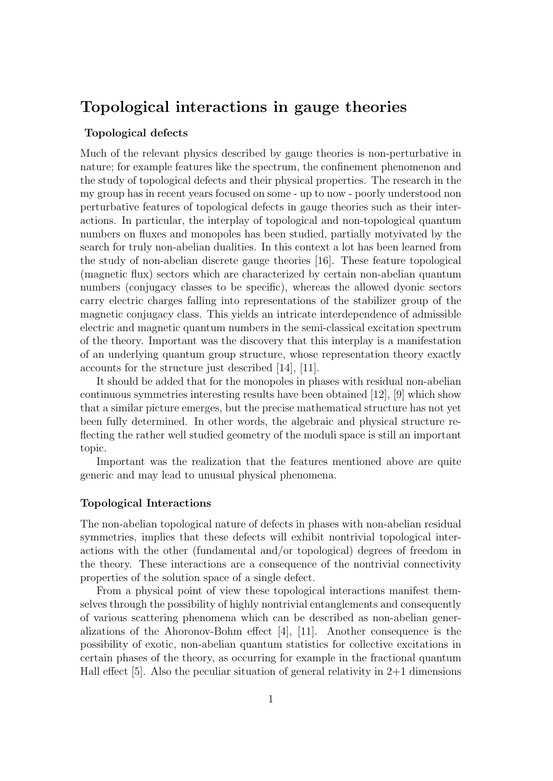# Topological interactions in gauge theories

### Topological defects

Much of the relevant physics described by gauge theories is non-perturbative in nature; for example features like the spectrum, the confinement phenomenon and the study of topological defects and their physical properties. The research in the my group has in recent years focused on some - up to now - poorly understood non perturbative features of topological defects in gauge theories such as their interactions. In particular, the interplay of topological and non-topological quantum numbers on fluxes and monopoles has been studied, partially motyivated by the search for truly non-abelian dualities. In this context a lot has been learned from the study of non-abelian discrete gauge theories [16]. These feature topological (magnetic flux) sectors which are characterized by certain non-abelian quantum numbers (conjugacy classes to be specific), whereas the allowed dyonic sectors carry electric charges falling into representations of the stabilizer group of the magnetic conjugacy class. This yields an intricate interdependence of admissible electric and magnetic quantum numbers in the semi-classical excitation spectrum of the theory. Important was the discovery that this interplay is a manifestation of an underlying quantum group structure, whose representation theory exactly accounts for the structure just described [14], [11].

It should be added that for the monopoles in phases with residual non-abelian continuous symmetries interesting results have been obtained [12], [9] which show that a similar picture emerges, but the precise mathematical structure has not yet been fully determined. In other words, the algebraic and physical structure reflecting the rather well studied geometry of the moduli space is still an important topic.

Important was the realization that the features mentioned above are quite generic and may lead to unusual physical phenomena.

## Topological Interactions

The non-abelian topological nature of defects in phases with non-abelian residual symmetries, implies that these defects will exhibit nontrivial topological interactions with the other (fundamental and/or topological) degrees of freedom in the theory. These interactions are a consequence of the nontrivial connectivity properties of the solution space of a single defect.

From a physical point of view these topological interactions manifest themselves through the possibility of highly nontrivial entanglements and consequently of various scattering phenomena which can be described as non-abelian generalizations of the Ahoronov-Bohm effect  $[4]$ ,  $[11]$ . Another consequence is the possibility of exotic, non-abelian quantum statistics for collective excitations in certain phases of the theory, as occurring for example in the fractional quantum Hall effect [5]. Also the peculiar situation of general relativity in  $2+1$  dimensions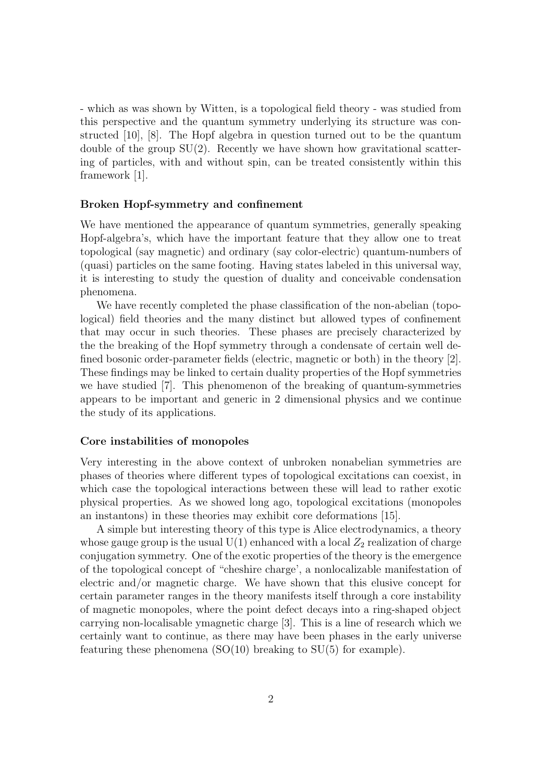- which as was shown by Witten, is a topological field theory - was studied from this perspective and the quantum symmetry underlying its structure was constructed [10], [8]. The Hopf algebra in question turned out to be the quantum double of the group  $SU(2)$ . Recently we have shown how gravitational scattering of particles, with and without spin, can be treated consistently within this framework [1].

#### Broken Hopf-symmetry and confinement

We have mentioned the appearance of quantum symmetries, generally speaking Hopf-algebra's, which have the important feature that they allow one to treat topological (say magnetic) and ordinary (say color-electric) quantum-numbers of (quasi) particles on the same footing. Having states labeled in this universal way, it is interesting to study the question of duality and conceivable condensation phenomena.

We have recently completed the phase classification of the non-abelian (topological) field theories and the many distinct but allowed types of confinement that may occur in such theories. These phases are precisely characterized by the the breaking of the Hopf symmetry through a condensate of certain well defined bosonic order-parameter fields (electric, magnetic or both) in the theory [2]. These findings may be linked to certain duality properties of the Hopf symmetries we have studied [7]. This phenomenon of the breaking of quantum-symmetries appears to be important and generic in 2 dimensional physics and we continue the study of its applications.

### Core instabilities of monopoles

Very interesting in the above context of unbroken nonabelian symmetries are phases of theories where different types of topological excitations can coexist, in which case the topological interactions between these will lead to rather exotic physical properties. As we showed long ago, topological excitations (monopoles an instantons) in these theories may exhibit core deformations [15].

A simple but interesting theory of this type is Alice electrodynamics, a theory whose gauge group is the usual  $U(1)$  enhanced with a local  $Z_2$  realization of charge conjugation symmetry. One of the exotic properties of the theory is the emergence of the topological concept of "cheshire charge', a nonlocalizable manifestation of electric and/or magnetic charge. We have shown that this elusive concept for certain parameter ranges in the theory manifests itself through a core instability of magnetic monopoles, where the point defect decays into a ring-shaped object carrying non-localisable ymagnetic charge [3]. This is a line of research which we certainly want to continue, as there may have been phases in the early universe featuring these phenomena  $(SO(10)$  breaking to  $SU(5)$  for example).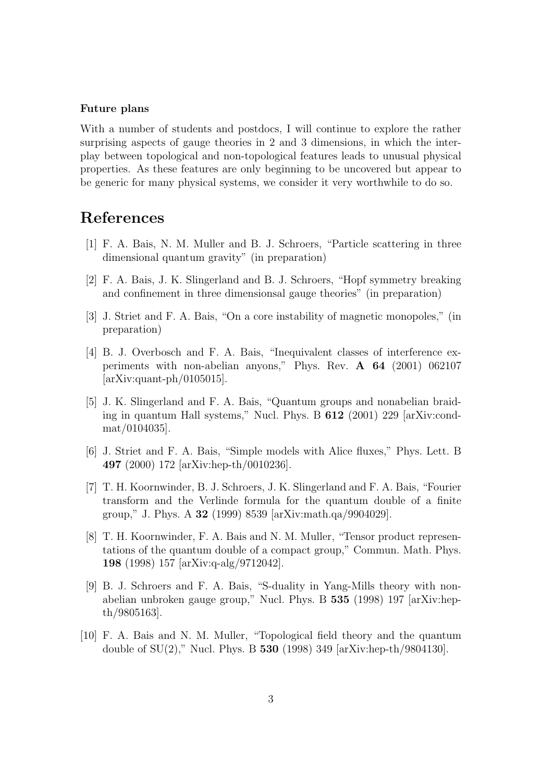#### Future plans

With a number of students and postdocs, I will continue to explore the rather surprising aspects of gauge theories in 2 and 3 dimensions, in which the interplay between topological and non-topological features leads to unusual physical properties. As these features are only beginning to be uncovered but appear to be generic for many physical systems, we consider it very worthwhile to do so.

# References

- [1] F. A. Bais, N. M. Muller and B. J. Schroers, "Particle scattering in three dimensional quantum gravity" (in preparation)
- [2] F. A. Bais, J. K. Slingerland and B. J. Schroers, "Hopf symmetry breaking and confinement in three dimensionsal gauge theories" (in preparation)
- [3] J. Striet and F. A. Bais, "On a core instability of magnetic monopoles," (in preparation)
- [4] B. J. Overbosch and F. A. Bais, "Inequivalent classes of interference experiments with non-abelian anyons," Phys. Rev. A 64 (2001) 062107 [arXiv:quant-ph/0105015].
- [5] J. K. Slingerland and F. A. Bais, "Quantum groups and nonabelian braiding in quantum Hall systems," Nucl. Phys. B 612 (2001) 229 [arXiv:condmat/0104035].
- [6] J. Striet and F. A. Bais, "Simple models with Alice fluxes," Phys. Lett. B 497 (2000) 172 [arXiv:hep-th/0010236].
- [7] T. H. Koornwinder, B. J. Schroers, J. K. Slingerland and F. A. Bais, "Fourier transform and the Verlinde formula for the quantum double of a finite group," J. Phys. A 32 (1999) 8539 [arXiv:math.qa/9904029].
- [8] T. H. Koornwinder, F. A. Bais and N. M. Muller, "Tensor product representations of the quantum double of a compact group," Commun. Math. Phys. 198 (1998) 157 [arXiv:q-alg/9712042].
- [9] B. J. Schroers and F. A. Bais, "S-duality in Yang-Mills theory with nonabelian unbroken gauge group," Nucl. Phys. B 535 (1998) 197 [arXiv:hepth/9805163].
- [10] F. A. Bais and N. M. Muller, "Topological field theory and the quantum double of  $SU(2)$ ," Nucl. Phys. B 530 (1998) 349 [arXiv:hep-th/9804130].